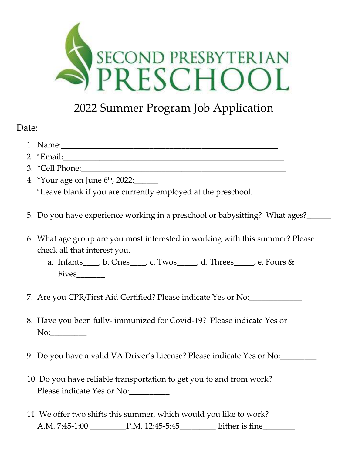

## 2022 Summer Program Job Application

| Date: |
|-------|
|-------|

- 1. Name:\_\_\_\_\_\_\_\_\_\_\_\_\_\_\_\_\_\_\_\_\_\_\_\_\_\_\_\_\_\_\_\_\_\_\_\_\_\_\_\_\_\_\_\_\_\_\_\_\_\_\_\_\_\_
- 2. \*Email:
- 3. \*Cell Phone:
- 4. \*Your age on June 6<sup>th</sup>, 2022:\_\_\_\_\_\_ \*Leave blank if you are currently employed at the preschool.
- 5. Do you have experience working in a preschool or babysitting? What ages?\_\_\_\_\_\_
- 6. What age group are you most interested in working with this summer? Please check all that interest you.
	- a. Infants\_\_\_\_, b. Ones\_\_\_\_, c. Twos\_\_\_\_\_, d. Threes\_\_\_\_\_, e. Fours & Fives\_\_\_\_\_\_\_
- 7. Are you CPR/First Aid Certified? Please indicate Yes or No:
- 8. Have you been fully- immunized for Covid-19? Please indicate Yes or No:
- 9. Do you have a valid VA Driver's License? Please indicate Yes or No:\_\_\_\_\_\_\_\_\_
- 10. Do you have reliable transportation to get you to and from work? Please indicate Yes or No:
- 11. We offer two shifts this summer, which would you like to work? A.M. 7:45-1:00 P.M. 12:45-5:45 Either is fine